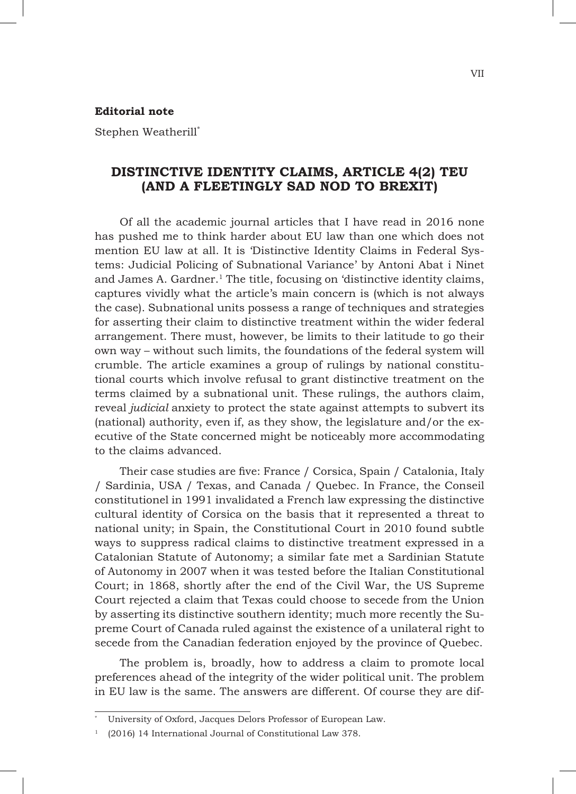## **Editorial note**

Stephen Weatherill\*

## **DISTINCTIVE IDENTITY CLAIMS, ARTICLE 4(2) TEU (AND A FLEETINGLY SAD NOD TO BREXIT)**

Of all the academic journal articles that I have read in 2016 none has pushed me to think harder about EU law than one which does not mention EU law at all. It is 'Distinctive Identity Claims in Federal Systems: Judicial Policing of Subnational Variance' by Antoni Abat i Ninet and James A. Gardner.<sup>1</sup> The title, focusing on 'distinctive identity claims, captures vividly what the article's main concern is (which is not always the case). Subnational units possess a range of techniques and strategies for asserting their claim to distinctive treatment within the wider federal arrangement. There must, however, be limits to their latitude to go their own way – without such limits, the foundations of the federal system will crumble. The article examines a group of rulings by national constitutional courts which involve refusal to grant distinctive treatment on the terms claimed by a subnational unit. These rulings, the authors claim, reveal *judicial* anxiety to protect the state against attempts to subvert its (national) authority, even if, as they show, the legislature and/or the executive of the State concerned might be noticeably more accommodating to the claims advanced.

Their case studies are five: France / Corsica, Spain / Catalonia, Italy / Sardinia, USA / Texas, and Canada / Quebec. In France, the Conseil constitutionel in 1991 invalidated a French law expressing the distinctive cultural identity of Corsica on the basis that it represented a threat to national unity; in Spain, the Constitutional Court in 2010 found subtle ways to suppress radical claims to distinctive treatment expressed in a Catalonian Statute of Autonomy; a similar fate met a Sardinian Statute of Autonomy in 2007 when it was tested before the Italian Constitutional Court; in 1868, shortly after the end of the Civil War, the US Supreme Court rejected a claim that Texas could choose to secede from the Union by asserting its distinctive southern identity; much more recently the Supreme Court of Canada ruled against the existence of a unilateral right to secede from the Canadian federation enjoyed by the province of Quebec.

The problem is, broadly, how to address a claim to promote local preferences ahead of the integrity of the wider political unit. The problem in EU law is the same. The answers are different. Of course they are dif-

VII

<sup>\*</sup> University of Oxford, Jacques Delors Professor of European Law.

<sup>1</sup> (2016) 14 International Journal of Constitutional Law 378.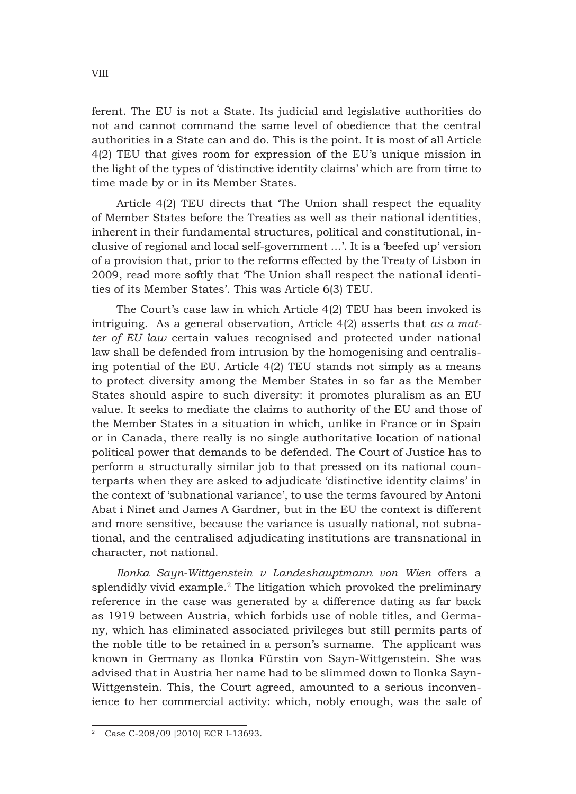ferent. The EU is not a State. Its judicial and legislative authorities do not and cannot command the same level of obedience that the central authorities in a State can and do. This is the point. It is most of all Article 4(2) TEU that gives room for expression of the EU's unique mission in the light of the types of 'distinctive identity claims' which are from time to time made by or in its Member States.

Article 4(2) TEU directs that 'The Union shall respect the equality of Member States before the Treaties as well as their national identities, inherent in their fundamental structures, political and constitutional, inclusive of regional and local self-government ...'. It is a 'beefed up' version of a provision that, prior to the reforms effected by the Treaty of Lisbon in 2009, read more softly that 'The Union shall respect the national identities of its Member States'. This was Article 6(3) TEU.

The Court's case law in which Article 4(2) TEU has been invoked is intriguing. As a general observation, Article 4(2) asserts that *as a matter of EU law* certain values recognised and protected under national law shall be defended from intrusion by the homogenising and centralising potential of the EU. Article  $4(2)$  TEU stands not simply as a means to protect diversity among the Member States in so far as the Member States should aspire to such diversity: it promotes pluralism as an EU value. It seeks to mediate the claims to authority of the EU and those of the Member States in a situation in which, unlike in France or in Spain or in Canada, there really is no single authoritative location of national political power that demands to be defended. The Court of Justice has to perform a structurally similar job to that pressed on its national counterparts when they are asked to adjudicate 'distinctive identity claims' in the context of 'subnational variance', to use the terms favoured by Antoni Abat i Ninet and James A Gardner, but in the EU the context is different and more sensitive, because the variance is usually national, not subnational, and the centralised adjudicating institutions are transnational in character, not national.

*Ilonka Sayn-Wittgenstein v Landeshauptmann von Wien* offers a splendidly vivid example.<sup>2</sup> The litigation which provoked the preliminary reference in the case was generated by a difference dating as far back as 1919 between Austria, which forbids use of noble titles, and Germany, which has eliminated associated privileges but still permits parts of the noble title to be retained in a person's surname. The applicant was known in Germany as Ilonka Fürstin von Sayn-Wittgenstein. She was advised that in Austria her name had to be slimmed down to Ilonka Sayn-Wittgenstein. This, the Court agreed, amounted to a serious inconvenience to her commercial activity: which, nobly enough, was the sale of

<sup>2</sup> Case C-208/09 [2010] ECR I-13693.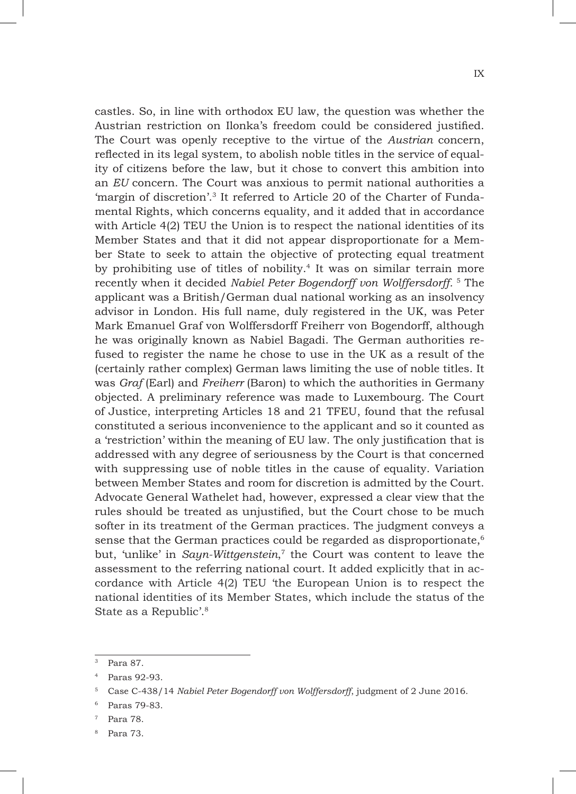castles. So, in line with orthodox EU law, the question was whether the Austrian restriction on Ilonka's freedom could be considered justified. The Court was openly receptive to the virtue of the *Austrian* concern, reflected in its legal system, to abolish noble titles in the service of equality of citizens before the law, but it chose to convert this ambition into an *EU* concern. The Court was anxious to permit national authorities a 'margin of discretion'.3 It referred to Article 20 of the Charter of Fundamental Rights, which concerns equality, and it added that in accordance with Article 4(2) TEU the Union is to respect the national identities of its Member States and that it did not appear disproportionate for a Member State to seek to attain the objective of protecting equal treatment by prohibiting use of titles of nobility.4 It was on similar terrain more recently when it decided *Nabiel Peter Bogendorff von Wolffersdorff.* <sup>5</sup> The applicant was a British/German dual national working as an insolvency advisor in London. His full name, duly registered in the UK, was Peter Mark Emanuel Graf von Wolffersdorff Freiherr von Bogendorff, although he was originally known as Nabiel Bagadi. The German authorities refused to register the name he chose to use in the UK as a result of the (certainly rather complex) German laws limiting the use of noble titles. It was *Graf* (Earl) and *Freiherr* (Baron) to which the authorities in Germany objected. A preliminary reference was made to Luxembourg. The Court of Justice, interpreting Articles 18 and 21 TFEU, found that the refusal constituted a serious inconvenience to the applicant and so it counted as a 'restriction' within the meaning of EU law. The only justification that is addressed with any degree of seriousness by the Court is that concerned with suppressing use of noble titles in the cause of equality. Variation between Member States and room for discretion is admitted by the Court. Advocate General Wathelet had, however, expressed a clear view that the rules should be treated as unjustified, but the Court chose to be much softer in its treatment of the German practices. The judgment conveys a sense that the German practices could be regarded as disproportionate,<sup>6</sup> but, 'unlike' in *Sayn-Wittgenstein*, <sup>7</sup> the Court was content to leave the assessment to the referring national court. It added explicitly that in accordance with Article 4(2) TEU 'the European Union is to respect the national identities of its Member States, which include the status of the State as a Republic'.8

<sup>3</sup> Para 87.

Paras 92-93.

<sup>5</sup> Case C-438/14 *Nabiel Peter Bogendorff von Wolffersdorff*, judgment of 2 June 2016.

Paras 79-83.

Para 78.

<sup>8</sup> Para 73.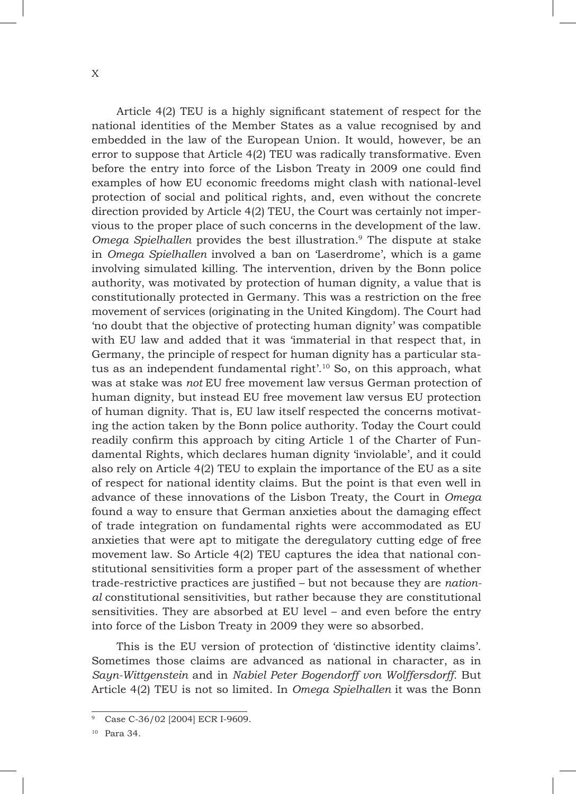Article 4(2) TEU is a highly significant statement of respect for the national identities of the Member States as a value recognised by and embedded in the law of the European Union. It would, however, be an error to suppose that Article 4(2) TEU was radically transformative. Even before the entry into force of the Lisbon Treaty in 2009 one could find examples of how EU economic freedoms might clash with national-level protection of social and political rights, and, even without the concrete direction provided by Article 4(2) TEU, the Court was certainly not impervious to the proper place of such concerns in the development of the law. *Omega Spielhallen* provides the best illustration.9 The dispute at stake in *Omega Spielhallen* involved a ban on 'Laserdrome', which is a game involving simulated killing. The intervention, driven by the Bonn police authority, was motivated by protection of human dignity, a value that is constitutionally protected in Germany. This was a restriction on the free movement of services (originating in the United Kingdom). The Court had 'no doubt that the objective of protecting human dignity' was compatible with EU law and added that it was 'immaterial in that respect that, in Germany, the principle of respect for human dignity has a particular status as an independent fundamental right'.10 So, on this approach, what was at stake was *not* EU free movement law versus German protection of human dignity, but instead EU free movement law versus EU protection of human dignity. That is, EU law itself respected the concerns motivating the action taken by the Bonn police authority. Today the Court could readily confirm this approach by citing Article 1 of the Charter of Fundamental Rights, which declares human dignity 'inviolable', and it could also rely on Article 4(2) TEU to explain the importance of the EU as a site of respect for national identity claims. But the point is that even well in advance of these innovations of the Lisbon Treaty, the Court in *Omega* found a way to ensure that German anxieties about the damaging effect of trade integration on fundamental rights were accommodated as EU anxieties that were apt to mitigate the deregulatory cutting edge of free movement law. So Article 4(2) TEU captures the idea that national constitutional sensitivities form a proper part of the assessment of whether trade-restrictive practices are justified – but not because they are *national* constitutional sensitivities, but rather because they are constitutional sensitivities. They are absorbed at EU level – and even before the entry into force of the Lisbon Treaty in 2009 they were so absorbed.

This is the EU version of protection of 'distinctive identity claims'. Sometimes those claims are advanced as national in character, as in *Sayn-Wittgenstein* and in *Nabiel Peter Bogendorff von Wolffersdorff.* But Article 4(2) TEU is not so limited. In *Omega Spielhallen* it was the Bonn

Case C-36/02 [2004] ECR I-9609.

<sup>10</sup> Para 34.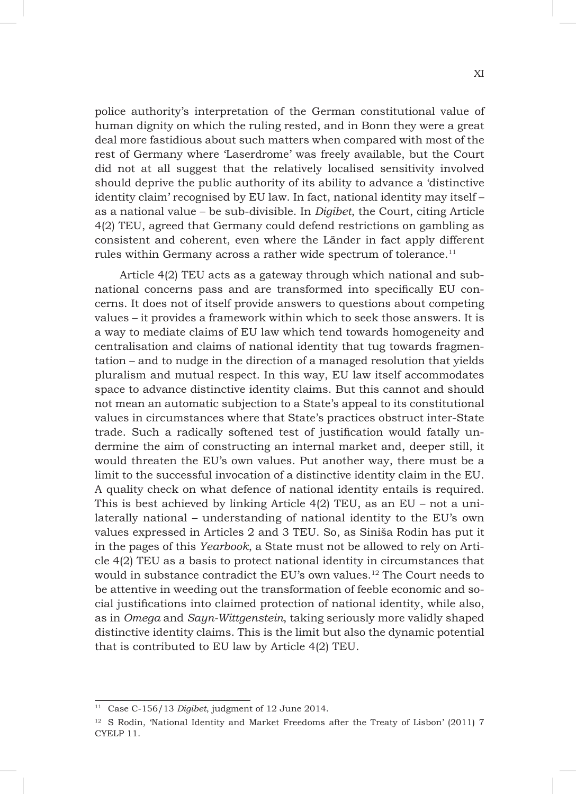police authority's interpretation of the German constitutional value of human dignity on which the ruling rested, and in Bonn they were a great deal more fastidious about such matters when compared with most of the rest of Germany where 'Laserdrome' was freely available, but the Court did not at all suggest that the relatively localised sensitivity involved should deprive the public authority of its ability to advance a 'distinctive identity claim' recognised by EU law. In fact, national identity may itself – as a national value – be sub-divisible. In *Digibet*, the Court, citing Article 4(2) TEU, agreed that Germany could defend restrictions on gambling as consistent and coherent, even where the Länder in fact apply different rules within Germany across a rather wide spectrum of tolerance.<sup>11</sup>

Article 4(2) TEU acts as a gateway through which national and subnational concerns pass and are transformed into specifically EU concerns. It does not of itself provide answers to questions about competing values – it provides a framework within which to seek those answers. It is a way to mediate claims of EU law which tend towards homogeneity and centralisation and claims of national identity that tug towards fragmentation – and to nudge in the direction of a managed resolution that yields pluralism and mutual respect. In this way, EU law itself accommodates space to advance distinctive identity claims. But this cannot and should not mean an automatic subjection to a State's appeal to its constitutional values in circumstances where that State's practices obstruct inter-State trade. Such a radically softened test of justification would fatally undermine the aim of constructing an internal market and, deeper still, it would threaten the EU's own values. Put another way, there must be a limit to the successful invocation of a distinctive identity claim in the EU. A quality check on what defence of national identity entails is required. This is best achieved by linking Article  $4(2)$  TEU, as an EU – not a unilaterally national – understanding of national identity to the EU's own values expressed in Articles 2 and 3 TEU. So, as Siniša Rodin has put it in the pages of this *Yearbook*, a State must not be allowed to rely on Article 4(2) TEU as a basis to protect national identity in circumstances that would in substance contradict the EU's own values.12 The Court needs to be attentive in weeding out the transformation of feeble economic and social justifications into claimed protection of national identity, while also, as in *Omega* and *Sayn-Wittgenstein*, taking seriously more validly shaped distinctive identity claims. This is the limit but also the dynamic potential that is contributed to EU law by Article 4(2) TEU.

<sup>11</sup> Case C-156/13 *Digibet*, judgment of 12 June 2014.

<sup>&</sup>lt;sup>12</sup> S Rodin, 'National Identity and Market Freedoms after the Treaty of Lisbon' (2011) 7 CYELP 11.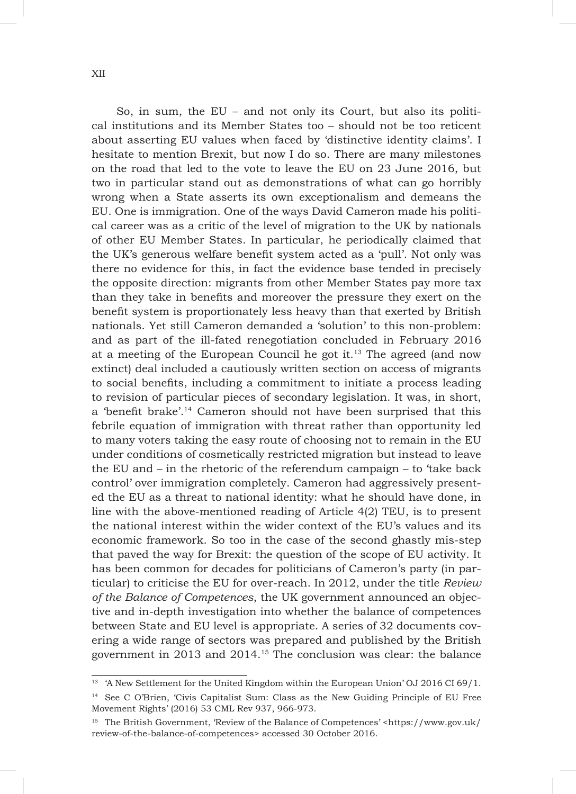So, in sum, the EU – and not only its Court, but also its political institutions and its Member States too – should not be too reticent about asserting EU values when faced by 'distinctive identity claims'. I hesitate to mention Brexit, but now I do so. There are many milestones on the road that led to the vote to leave the EU on 23 June 2016, but two in particular stand out as demonstrations of what can go horribly wrong when a State asserts its own exceptionalism and demeans the EU. One is immigration. One of the ways David Cameron made his political career was as a critic of the level of migration to the UK by nationals of other EU Member States. In particular, he periodically claimed that the UK's generous welfare benefit system acted as a 'pull'. Not only was there no evidence for this, in fact the evidence base tended in precisely the opposite direction: migrants from other Member States pay more tax than they take in benefits and moreover the pressure they exert on the benefit system is proportionately less heavy than that exerted by British nationals. Yet still Cameron demanded a 'solution' to this non-problem: and as part of the ill-fated renegotiation concluded in February 2016 at a meeting of the European Council he got it. $13$  The agreed (and now extinct) deal included a cautiously written section on access of migrants to social benefits, including a commitment to initiate a process leading to revision of particular pieces of secondary legislation. It was, in short, a 'benefit brake'.14 Cameron should not have been surprised that this febrile equation of immigration with threat rather than opportunity led to many voters taking the easy route of choosing not to remain in the EU under conditions of cosmetically restricted migration but instead to leave the EU and – in the rhetoric of the referendum campaign – to 'take back control' over immigration completely. Cameron had aggressively presented the EU as a threat to national identity: what he should have done, in line with the above-mentioned reading of Article 4(2) TEU, is to present the national interest within the wider context of the EU's values and its economic framework. So too in the case of the second ghastly mis-step that paved the way for Brexit: the question of the scope of EU activity. It has been common for decades for politicians of Cameron's party (in particular) to criticise the EU for over-reach. In 2012, under the title *Review of the Balance of Competences*, the UK government announced an objective and in-depth investigation into whether the balance of competences between State and EU level is appropriate. A series of 32 documents covering a wide range of sectors was prepared and published by the British government in 2013 and 2014.15 The conclusion was clear: the balance

<sup>&</sup>lt;sup>13</sup> 'A New Settlement for the United Kingdom within the European Union' OJ 2016 CI 69/1.

<sup>14</sup> See C O'Brien, 'Civis Capitalist Sum: Class as the New Guiding Principle of EU Free Movement Rights' (2016) 53 CML Rev 937, 966-973.

<sup>15</sup> The British Government, 'Review of the Balance of Competences' <https://www.gov.uk/ review-of-the-balance-of-competences> accessed 30 October 2016.